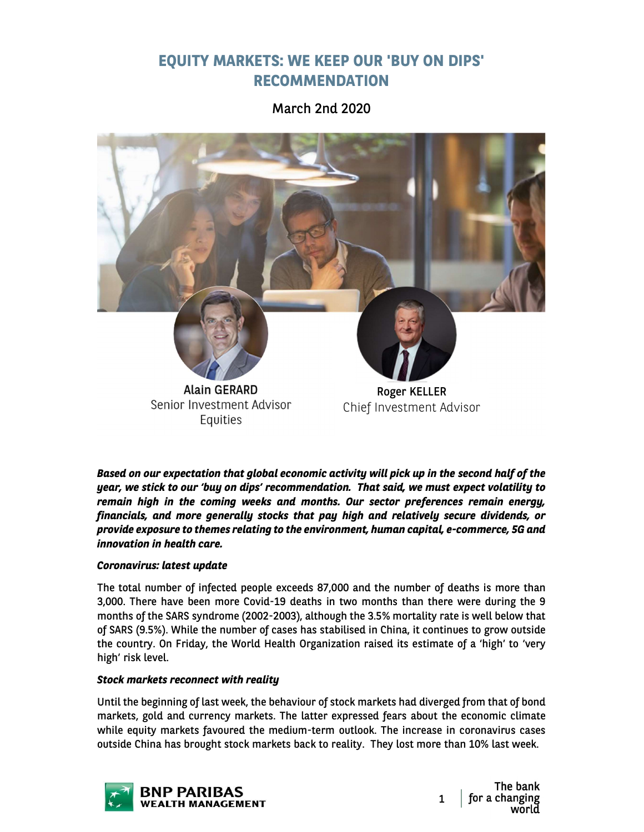# EQUITY MARKETS: WE KEEP OUR 'BUY ON DIPS' RECOMMENDATION

March 2nd 2020



Based on our expectation that global economic activity will pick up in the second half of the year, we stick to our 'buy on dips' recommendation. That said, we must expect volatility to remain high in the coming weeks and months. Our sector preferences remain energy, financials, and more generally stocks that pay high and relatively secure dividends, or provide exposure to themes relating to the environment, human capital, e-commerce, 5G and innovation in health care.

# Coronavirus: latest update

The total number of infected people exceeds 87,000 and the number of deaths is more than 3,000. There have been more Covid-19 deaths in two months than there were during the 9 months of the SARS syndrome (2002-2003), although the 3.5% mortality rate is well below that of SARS (9.5%). While the number of cases has stabilised in China, it continues to grow outside the country. On Friday, the World Health Organization raised its estimate of a 'high' to 'very high' risk level.

## Stock markets reconnect with reality

Until the beginning of last week, the behaviour of stock markets had diverged from that of bond markets, gold and currency markets. The latter expressed fears about the economic climate while equity markets favoured the medium-term outlook. The increase in coronavirus cases outside China has brought stock markets back to reality. They lost more than 10% last week.



The bank for a changing<br>world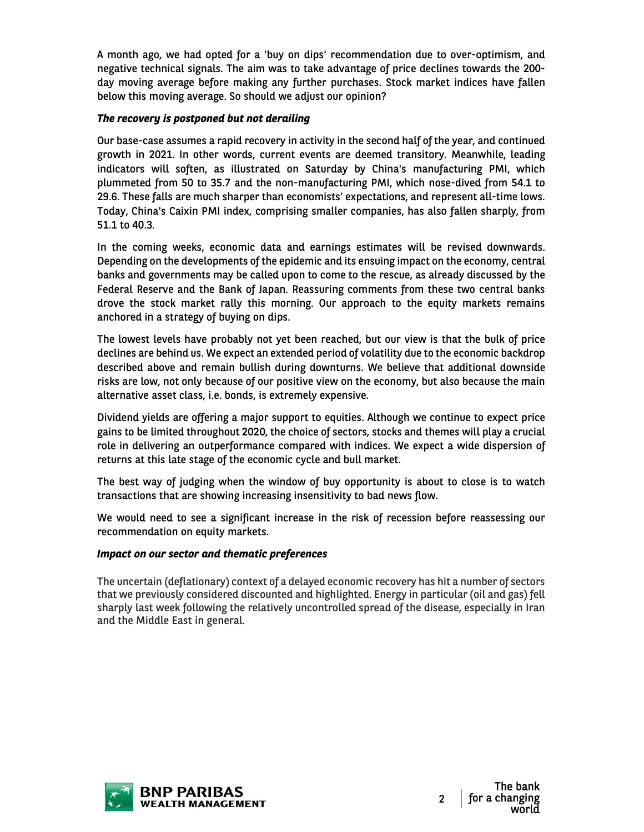A month ago, we had opted for a 'buy on dips' recommendation due to over-optimism, and negative technical signals. The aim was to take advantage of price declines towards the 200 day moving average before making any further purchases. Stock market indices have fallen below this moving average. So should we adjust our opinion?

# The recovery is postponed but not derailing

Our base-case assumes a rapid recovery in activity in the second half of the year, and continued growth in 2021. In other words, current events are deemed transitory. Meanwhile, leading indicators will soften, as illustrated on Saturday by China's manufacturing PMI, which plummeted from 50 to 35.7 and the non-manufacturing PMI, which nose-dived from 54.1 to 29.6. These falls are much sharper than economists' expectations, and represent all-time lows. Today, China's Caixin PMI index, comprising smaller companies, has also fallen sharply, from 51.1 to 40.3.

In the coming weeks, economic data and earnings estimates will be revised downwards. Depending on the developments of the epidemic and its ensuing impact on the economy, central banks and governments may be called upon to come to the rescue, as already discussed by the Federal Reserve and the Bank of Japan. Reassuring comments from these two central banks drove the stock market rally this morning. Our approach to the equity markets remains anchored in a strategy of buying on dips.

The lowest levels have probably not yet been reached, but our view is that the bulk of price declines are behind us. We expect an extended period of volatility due to the economic backdrop described above and remain bullish during downturns. We believe that additional downside risks are low, not only because of our positive view on the economy, but also because the main alternative asset class, i.e. bonds, is extremely expensive.

Dividend yields are offering a major support to equities. Although we continue to expect price gains to be limited throughout 2020, the choice of sectors, stocks and themes will play a crucial role in delivering an outperformance compared with indices. We expect a wide dispersion of returns at this late stage of the economic cycle and bull market.

The best way of judging when the window of buy opportunity is about to close is to watch transactions that are showing increasing insensitivity to bad news flow.

We would need to see a significant increase in the risk of recession before reassessing our recommendation on equity markets.

## Impact on our sector and thematic preferences

The uncertain (deflationary) context of a delayed economic recovery has hit a number of sectors that we previously considered discounted and highlighted. Energy in particular (oil and gas) fell sharply last week following the relatively uncontrolled spread of the disease, especially in Iran and the Middle East in general.

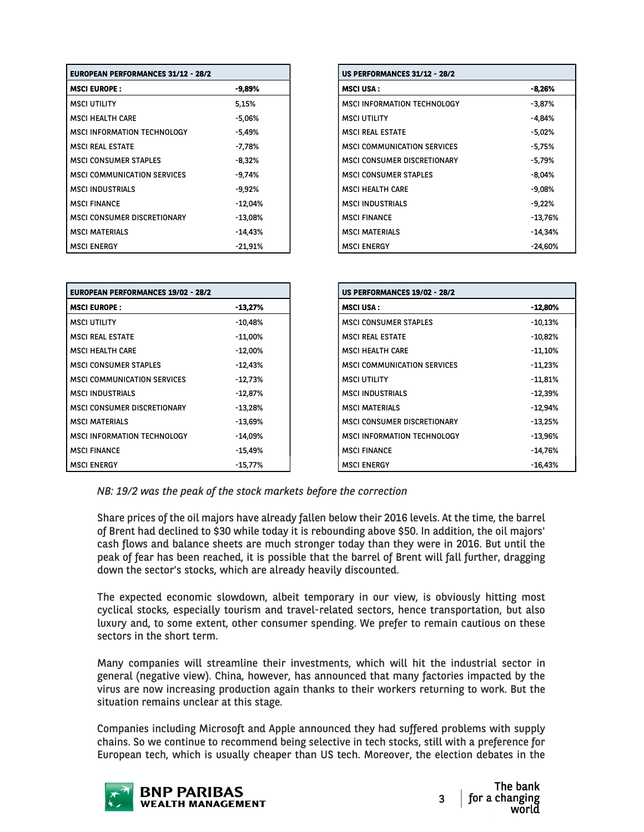| <b>EUROPEAN PERFORMANCES 31/12 - 28/2</b> |           |
|-------------------------------------------|-----------|
| <b>MSCI EUROPE:</b>                       | $-9,89\%$ |
| <b>MSCI UTILITY</b>                       | 5,15%     |
| <b>MSCI HEALTH CARE</b>                   | $-5.06%$  |
| MSCI INFORMATION TECHNOLOGY               | $-5.49%$  |
| <b>MSCI REAL ESTATE</b>                   | -7.78%    |
| <b>MSCI CONSUMER STAPLES</b>              | $-8,32%$  |
| <b>MSCI COMMUNICATION SERVICES</b>        | $-9.74%$  |
| <b>MSCI INDUSTRIALS</b>                   | $-9,92%$  |
| <b>MSCI FINANCE</b>                       | $-12.04%$ |
| MSCI CONSUMER DISCRETIONARY               | $-13.08%$ |
| <b>MSCI MATERIALS</b>                     | -14.43%   |
| <b>MSCI ENERGY</b>                        | $-21,91%$ |

| <b>EUROPEAN PERFORMANCES 31/12 - 28/2</b> |           |
|-------------------------------------------|-----------|
| <b>MSCI EUROPE :</b>                      | -9,89%    |
| MSCI UTILITY                              | 5,15%     |
| MSCI HEALTH CARE                          | -5,06%    |
| MSCI INFORMATION TECHNOLOGY               | $-5,49%$  |
| MSCI REAL ESTATE                          | -7,78%    |
| MSCI CONSUMER STAPLES                     | $-8,32%$  |
| MSCI COMMUNICATION SERVICES               | -9,74%    |
| MSCI INDUSTRIALS                          | -9,92%    |
| MSCI FINANCE                              | -12,04%   |
| MSCI CONSUMER DISCRETIONARY               | $-13,08%$ |
| MSCI MATERIALS                            | -14,43%   |
| MSCI ENERGY                               | $-21,91%$ |

| <b>EUROPEAN PERFORMANCES 19/02 - 28/2</b> |            | <b>US PERFORMANCES 19/02 - 28/2</b> |
|-------------------------------------------|------------|-------------------------------------|
| <b>MSCI EUROPE:</b>                       | $-13,27%$  | <b>MSCI USA:</b>                    |
| <b>MSCI UTILITY</b>                       | -10,48%    | <b>MSCI CONSUMER STAPLES</b>        |
| <b>MSCI REAL ESTATE</b>                   | -11,00%    | <b>MSCI REAL ESTATE</b>             |
| <b>MSCI HEALTH CARE</b>                   | $-12,00\%$ | <b>MSCI HEALTH CARE</b>             |
| <b>MSCI CONSUMER STAPLES</b>              | -12.43%    | <b>MSCI COMMUNICATION SERVICES</b>  |
| <b>MSCI COMMUNICATION SERVICES</b>        | $-12,73%$  | <b>MSCI UTILITY</b>                 |
| <b>MSCI INDUSTRIALS</b>                   | $-12,87%$  | <b>MSCI INDUSTRIALS</b>             |
| <b>MSCI CONSUMER DISCRETIONARY</b>        | $-13.28%$  | <b>MSCI MATERIALS</b>               |
| <b>MSCI MATERIALS</b>                     | $-13,69%$  | MSCI CONSUMER DISCRETIONARY         |
| MSCI INFORMATION TECHNOLOGY               | $-14,09\%$ | MSCI INFORMATION TECHNOLOGY         |
| <b>MSCI FINANCE</b>                       | $-15.49%$  | <b>MSCI FINANCE</b>                 |
| <b>MSCI ENERGY</b>                        | -15,77%    | <b>MSCI ENERGY</b>                  |

NB: 19/2 was the peak of the stock markets before the correction

Share prices of the oil majors have already fallen below their 2016 levels. At the time, the barrel of Brent had declined to \$30 while today it is rebounding above \$50. In addition, the oil majors' cash flows and balance sheets are much stronger today than they were in 2016. But until the peak of fear has been reached, it is possible that the barrel of Brent will fall further, dragging down the sector's stocks, which are already heavily discounted.

The expected economic slowdown, albeit temporary in our view, is obviously hitting most cyclical stocks, especially tourism and travel-related sectors, hence transportation, but also luxury and, to some extent, other consumer spending. We prefer to remain cautious on these sectors in the short term.

Many companies will streamline their investments, which will hit the industrial sector in general (negative view). China, however, has announced that many factories impacted by the virus are now increasing production again thanks to their workers returning to work. But the situation remains unclear at this stage.

Companies including Microsoft and Apple announced they had suffered problems with supply chains. So we continue to recommend being selective in tech stocks, still with a preference for European tech, which is usually cheaper than US tech. Moreover, the election debates in the

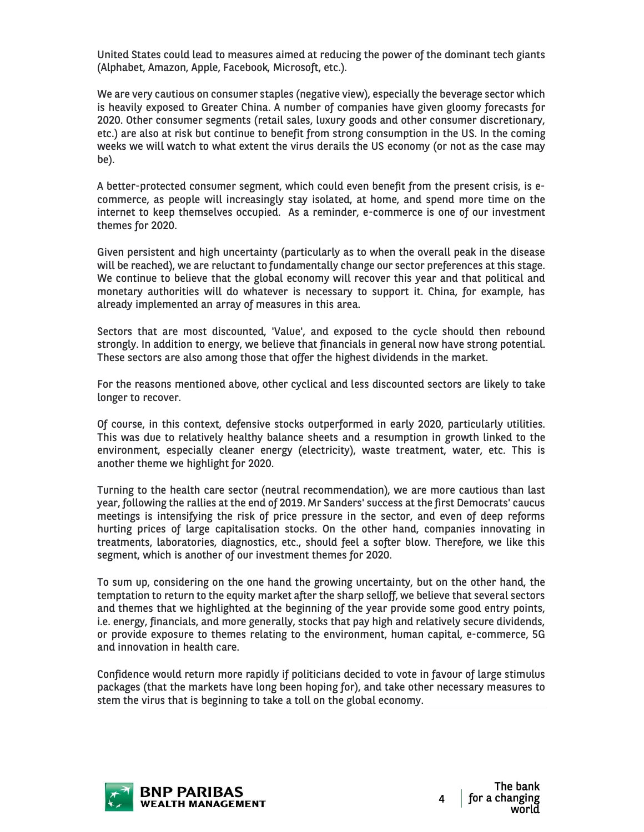United States could lead to measures aimed at reducing the power of the dominant tech giants (Alphabet, Amazon, Apple, Facebook, Microsoft, etc.).

We are very cautious on consumer staples (negative view), especially the beverage sector which is heavily exposed to Greater China. A number of companies have given gloomy forecasts for 2020. Other consumer segments (retail sales, luxury goods and other consumer discretionary, etc.) are also at risk but continue to benefit from strong consumption in the US. In the coming weeks we will watch to what extent the virus derails the US economy (or not as the case may be).

A better-protected consumer segment, which could even benefit from the present crisis, is ecommerce, as people will increasingly stay isolated, at home, and spend more time on the internet to keep themselves occupied. As a reminder, e-commerce is one of our investment themes for 2020.

Given persistent and high uncertainty (particularly as to when the overall peak in the disease will be reached), we are reluctant to fundamentally change our sector preferences at this stage. We continue to believe that the global economy will recover this year and that political and monetary authorities will do whatever is necessary to support it. China, for example, has already implemented an array of measures in this area.

Sectors that are most discounted, 'Value', and exposed to the cycle should then rebound strongly. In addition to energy, we believe that financials in general now have strong potential. These sectors are also among those that offer the highest dividends in the market.

For the reasons mentioned above, other cyclical and less discounted sectors are likely to take longer to recover.

Of course, in this context, defensive stocks outperformed in early 2020, particularly utilities. This was due to relatively healthy balance sheets and a resumption in growth linked to the environment, especially cleaner energy (electricity), waste treatment, water, etc. This is another theme we highlight for 2020.

Turning to the health care sector (neutral recommendation), we are more cautious than last year, following the rallies at the end of 2019. Mr Sanders' success at the first Democrats' caucus meetings is intensifying the risk of price pressure in the sector, and even of deep reforms hurting prices of large capitalisation stocks. On the other hand, companies innovating in treatments, laboratories, diagnostics, etc., should feel a softer blow. Therefore, we like this segment, which is another of our investment themes for 2020.

To sum up, considering on the one hand the growing uncertainty, but on the other hand, the temptation to return to the equity market after the sharp selloff, we believe that several sectors and themes that we highlighted at the beginning of the year provide some good entry points, i.e. energy, financials, and more generally, stocks that pay high and relatively secure dividends, or provide exposure to themes relating to the environment, human capital, e-commerce, 5G and innovation in health care.

Confidence would return more rapidly if politicians decided to vote in favour of large stimulus packages (that the markets have long been hoping for), and take other necessary measures to stem the virus that is beginning to take a toll on the global economy.